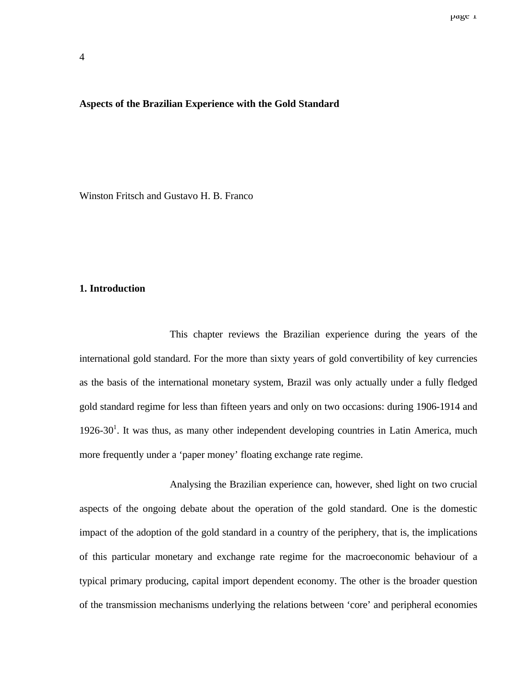### **Aspects of the Brazilian Experience with the Gold Standard**

Winston Fritsch and Gustavo H. B. Franco

# **1. Introduction**

This chapter reviews the Brazilian experience during the years of the international gold standard. For the more than sixty years of gold convertibility of key currencies as the basis of the international monetary system, Brazil was only actually under a fully fledged gold standard regime for less than fifteen years and only on two occasions: during 1906-1914 and 1926-30<sup>1</sup>. It was thus, as many other independent developing countries in Latin America, much more frequently under a 'paper money' floating exchange rate regime.

Analysing the Brazilian experience can, however, shed light on two crucial aspects of the ongoing debate about the operation of the gold standard. One is the domestic impact of the adoption of the gold standard in a country of the periphery, that is, the implications of this particular monetary and exchange rate regime for the macroeconomic behaviour of a typical primary producing, capital import dependent economy. The other is the broader question of the transmission mechanisms underlying the relations between 'core' and peripheral economies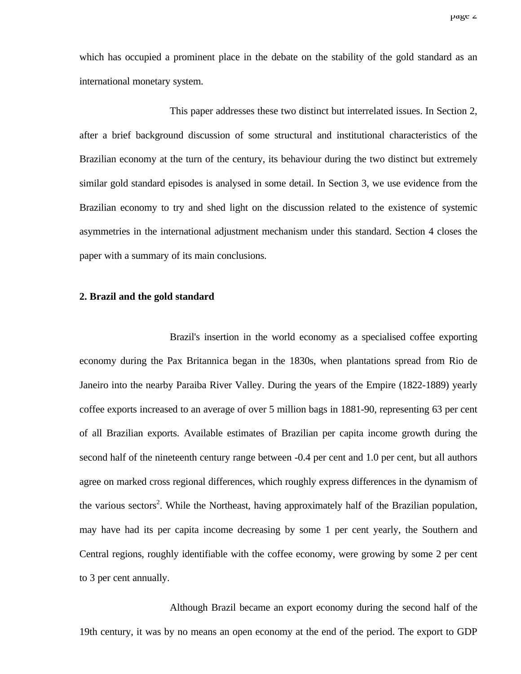which has occupied a prominent place in the debate on the stability of the gold standard as an international monetary system.

This paper addresses these two distinct but interrelated issues. In Section 2, after a brief background discussion of some structural and institutional characteristics of the Brazilian economy at the turn of the century, its behaviour during the two distinct but extremely similar gold standard episodes is analysed in some detail. In Section 3, we use evidence from the Brazilian economy to try and shed light on the discussion related to the existence of systemic asymmetries in the international adjustment mechanism under this standard. Section 4 closes the paper with a summary of its main conclusions.

### **2. Brazil and the gold standard**

Brazil's insertion in the world economy as a specialised coffee exporting economy during the Pax Britannica began in the 1830s, when plantations spread from Rio de Janeiro into the nearby Paraiba River Valley. During the years of the Empire (1822-1889) yearly coffee exports increased to an average of over 5 million bags in 1881-90, representing 63 per cent of all Brazilian exports. Available estimates of Brazilian per capita income growth during the second half of the nineteenth century range between -0.4 per cent and 1.0 per cent, but all authors agree on marked cross regional differences, which roughly express differences in the dynamism of the various sectors<sup>2</sup>. While the Northeast, having approximately half of the Brazilian population, may have had its per capita income decreasing by some 1 per cent yearly, the Southern and Central regions, roughly identifiable with the coffee economy, were growing by some 2 per cent to 3 per cent annually.

Although Brazil became an export economy during the second half of the 19th century, it was by no means an open economy at the end of the period. The export to GDP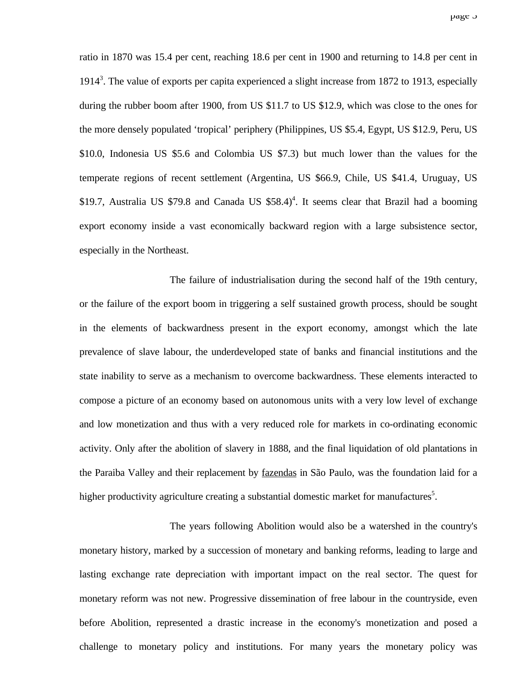ratio in 1870 was 15.4 per cent, reaching 18.6 per cent in 1900 and returning to 14.8 per cent in 1914<sup>3</sup>. The value of exports per capita experienced a slight increase from 1872 to 1913, especially during the rubber boom after 1900, from US \$11.7 to US \$12.9, which was close to the ones for the more densely populated 'tropical' periphery (Philippines, US \$5.4, Egypt, US \$12.9, Peru, US \$10.0, Indonesia US \$5.6 and Colombia US \$7.3) but much lower than the values for the temperate regions of recent settlement (Argentina, US \$66.9, Chile, US \$41.4, Uruguay, US \$19.7, Australia US \$79.8 and Canada US  $$58.4$ <sup>4</sup>. It seems clear that Brazil had a booming export economy inside a vast economically backward region with a large subsistence sector, especially in the Northeast.

The failure of industrialisation during the second half of the 19th century, or the failure of the export boom in triggering a self sustained growth process, should be sought in the elements of backwardness present in the export economy, amongst which the late prevalence of slave labour, the underdeveloped state of banks and financial institutions and the state inability to serve as a mechanism to overcome backwardness. These elements interacted to compose a picture of an economy based on autonomous units with a very low level of exchange and low monetization and thus with a very reduced role for markets in co-ordinating economic activity. Only after the abolition of slavery in 1888, and the final liquidation of old plantations in the Paraiba Valley and their replacement by fazendas in São Paulo, was the foundation laid for a higher productivity agriculture creating a substantial domestic market for manufactures<sup>5</sup>.

The years following Abolition would also be a watershed in the country's monetary history, marked by a succession of monetary and banking reforms, leading to large and lasting exchange rate depreciation with important impact on the real sector. The quest for monetary reform was not new. Progressive dissemination of free labour in the countryside, even before Abolition, represented a drastic increase in the economy's monetization and posed a challenge to monetary policy and institutions. For many years the monetary policy was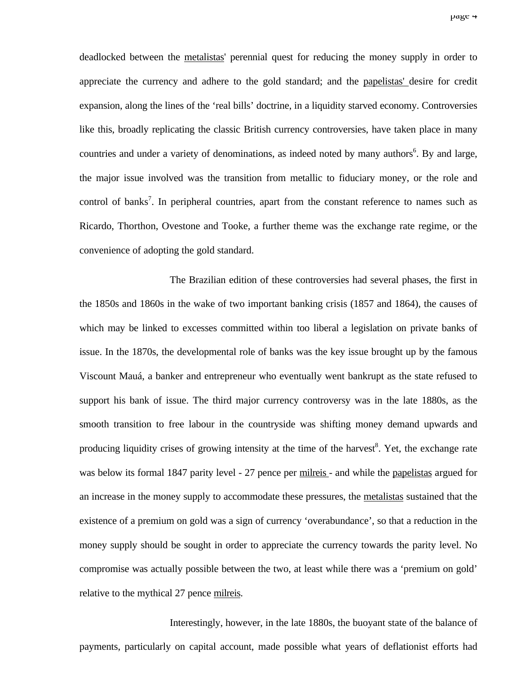deadlocked between the metalistas' perennial quest for reducing the money supply in order to appreciate the currency and adhere to the gold standard; and the papelistas' desire for credit expansion, along the lines of the 'real bills' doctrine, in a liquidity starved economy. Controversies like this, broadly replicating the classic British currency controversies, have taken place in many countries and under a variety of denominations, as indeed noted by many authors<sup>6</sup>. By and large, the major issue involved was the transition from metallic to fiduciary money, or the role and control of banks<sup>7</sup>. In peripheral countries, apart from the constant reference to names such as Ricardo, Thorthon, Ovestone and Tooke, a further theme was the exchange rate regime, or the convenience of adopting the gold standard.

The Brazilian edition of these controversies had several phases, the first in the 1850s and 1860s in the wake of two important banking crisis (1857 and 1864), the causes of which may be linked to excesses committed within too liberal a legislation on private banks of issue. In the 1870s, the developmental role of banks was the key issue brought up by the famous Viscount Mauá, a banker and entrepreneur who eventually went bankrupt as the state refused to support his bank of issue. The third major currency controversy was in the late 1880s, as the smooth transition to free labour in the countryside was shifting money demand upwards and producing liquidity crises of growing intensity at the time of the harvest<sup>8</sup>. Yet, the exchange rate was below its formal 1847 parity level - 27 pence per milreis - and while the papelistas argued for an increase in the money supply to accommodate these pressures, the metalistas sustained that the existence of a premium on gold was a sign of currency 'overabundance', so that a reduction in the money supply should be sought in order to appreciate the currency towards the parity level. No compromise was actually possible between the two, at least while there was a 'premium on gold' relative to the mythical 27 pence milreis.

Interestingly, however, in the late 1880s, the buoyant state of the balance of payments, particularly on capital account, made possible what years of deflationist efforts had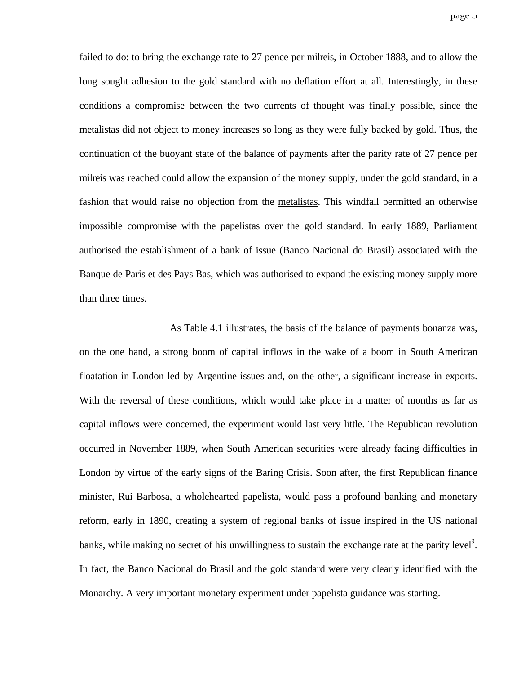failed to do: to bring the exchange rate to 27 pence per milreis, in October 1888, and to allow the long sought adhesion to the gold standard with no deflation effort at all. Interestingly, in these conditions a compromise between the two currents of thought was finally possible, since the metalistas did not object to money increases so long as they were fully backed by gold. Thus, the continuation of the buoyant state of the balance of payments after the parity rate of 27 pence per milreis was reached could allow the expansion of the money supply, under the gold standard, in a fashion that would raise no objection from the metalistas. This windfall permitted an otherwise impossible compromise with the papelistas over the gold standard. In early 1889, Parliament authorised the establishment of a bank of issue (Banco Nacional do Brasil) associated with the Banque de Paris et des Pays Bas, which was authorised to expand the existing money supply more than three times.

As Table 4.1 illustrates, the basis of the balance of payments bonanza was, on the one hand, a strong boom of capital inflows in the wake of a boom in South American floatation in London led by Argentine issues and, on the other, a significant increase in exports. With the reversal of these conditions, which would take place in a matter of months as far as capital inflows were concerned, the experiment would last very little. The Republican revolution occurred in November 1889, when South American securities were already facing difficulties in London by virtue of the early signs of the Baring Crisis. Soon after, the first Republican finance minister, Rui Barbosa, a wholehearted papelista, would pass a profound banking and monetary reform, early in 1890, creating a system of regional banks of issue inspired in the US national banks, while making no secret of his unwillingness to sustain the exchange rate at the parity level<sup>9</sup>. In fact, the Banco Nacional do Brasil and the gold standard were very clearly identified with the Monarchy. A very important monetary experiment under papelista guidance was starting.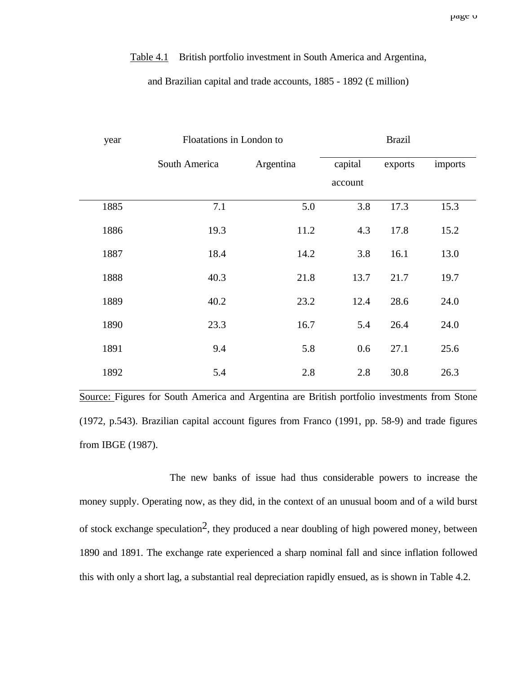| year | Floatations in London to |           | <b>Brazil</b> |         |         |
|------|--------------------------|-----------|---------------|---------|---------|
|      | South America            | Argentina | capital       | exports | imports |
|      |                          |           | account       |         |         |
| 1885 | 7.1                      | 5.0       | 3.8           | 17.3    | 15.3    |
| 1886 | 19.3                     | 11.2      | 4.3           | 17.8    | 15.2    |
| 1887 | 18.4                     | 14.2      | 3.8           | 16.1    | 13.0    |
| 1888 | 40.3                     | 21.8      | 13.7          | 21.7    | 19.7    |
| 1889 | 40.2                     | 23.2      | 12.4          | 28.6    | 24.0    |
| 1890 | 23.3                     | 16.7      | 5.4           | 26.4    | 24.0    |
| 1891 | 9.4                      | 5.8       | 0.6           | 27.1    | 25.6    |
| 1892 | 5.4                      | 2.8       | 2.8           | 30.8    | 26.3    |

# Table 4.1 British portfolio investment in South America and Argentina,

## and Brazilian capital and trade accounts, 1885 - 1892 (£ million)

Source: Figures for South America and Argentina are British portfolio investments from Stone (1972, p.543). Brazilian capital account figures from Franco (1991, pp. 58-9) and trade figures from IBGE (1987).

The new banks of issue had thus considerable powers to increase the money supply. Operating now, as they did, in the context of an unusual boom and of a wild burst of stock exchange speculation2, they produced a near doubling of high powered money, between 1890 and 1891. The exchange rate experienced a sharp nominal fall and since inflation followed this with only a short lag, a substantial real depreciation rapidly ensued, as is shown in Table 4.2.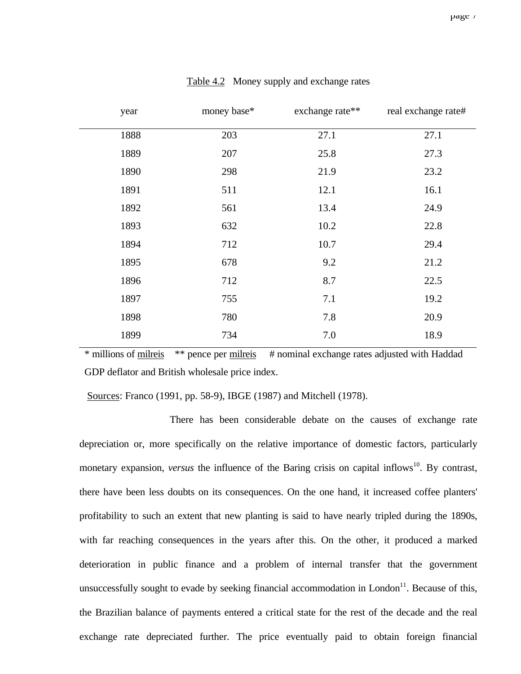| year | money base* | exchange rate** | real exchange rate# |
|------|-------------|-----------------|---------------------|
| 1888 | 203         | 27.1            | 27.1                |
| 1889 | 207         | 25.8            | 27.3                |
| 1890 | 298         | 21.9            | 23.2                |
| 1891 | 511         | 12.1            | 16.1                |
| 1892 | 561         | 13.4            | 24.9                |
| 1893 | 632         | 10.2            | 22.8                |
| 1894 | 712         | 10.7            | 29.4                |
| 1895 | 678         | 9.2             | 21.2                |
| 1896 | 712         | 8.7             | 22.5                |
| 1897 | 755         | 7.1             | 19.2                |
| 1898 | 780         | 7.8             | 20.9                |
| 1899 | 734         | 7.0             | 18.9                |

Table 4.2 Money supply and exchange rates

\* millions of milreis \*\* pence per milreis # nominal exchange rates adjusted with Haddad GDP deflator and British wholesale price index.

Sources: Franco (1991, pp. 58-9), IBGE (1987) and Mitchell (1978).

There has been considerable debate on the causes of exchange rate depreciation or, more specifically on the relative importance of domestic factors, particularly monetary expansion, *versus* the influence of the Baring crisis on capital inflows<sup>10</sup>. By contrast, there have been less doubts on its consequences. On the one hand, it increased coffee planters' profitability to such an extent that new planting is said to have nearly tripled during the 1890s, with far reaching consequences in the years after this. On the other, it produced a marked deterioration in public finance and a problem of internal transfer that the government unsuccessfully sought to evade by seeking financial accommodation in London<sup>11</sup>. Because of this, the Brazilian balance of payments entered a critical state for the rest of the decade and the real exchange rate depreciated further. The price eventually paid to obtain foreign financial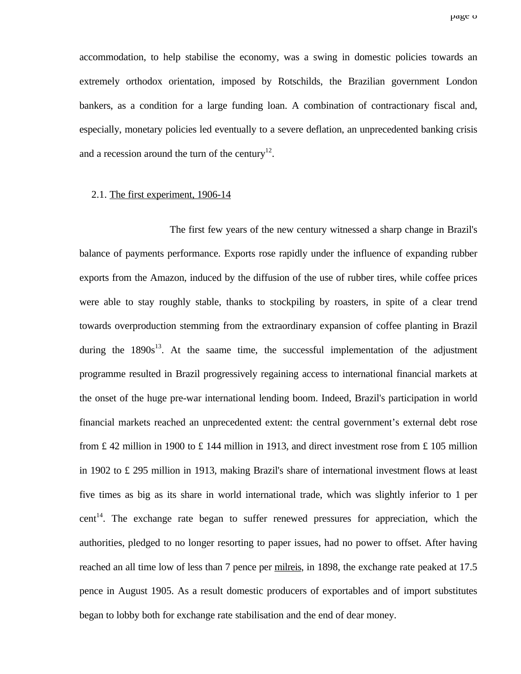accommodation, to help stabilise the economy, was a swing in domestic policies towards an extremely orthodox orientation, imposed by Rotschilds, the Brazilian government London bankers, as a condition for a large funding loan. A combination of contractionary fiscal and, especially, monetary policies led eventually to a severe deflation, an unprecedented banking crisis and a recession around the turn of the century $^{12}$ .

### 2.1. The first experiment, 1906-14

The first few years of the new century witnessed a sharp change in Brazil's balance of payments performance. Exports rose rapidly under the influence of expanding rubber exports from the Amazon, induced by the diffusion of the use of rubber tires, while coffee prices were able to stay roughly stable, thanks to stockpiling by roasters, in spite of a clear trend towards overproduction stemming from the extraordinary expansion of coffee planting in Brazil during the  $1890s^{13}$ . At the saame time, the successful implementation of the adjustment programme resulted in Brazil progressively regaining access to international financial markets at the onset of the huge pre-war international lending boom. Indeed, Brazil's participation in world financial markets reached an unprecedented extent: the central government's external debt rose from £ 42 million in 1900 to £ 144 million in 1913, and direct investment rose from £ 105 million in 1902 to £ 295 million in 1913, making Brazil's share of international investment flows at least five times as big as its share in world international trade, which was slightly inferior to 1 per cent<sup>14</sup>. The exchange rate began to suffer renewed pressures for appreciation, which the authorities, pledged to no longer resorting to paper issues, had no power to offset. After having reached an all time low of less than 7 pence per milreis, in 1898, the exchange rate peaked at 17.5 pence in August 1905. As a result domestic producers of exportables and of import substitutes began to lobby both for exchange rate stabilisation and the end of dear money.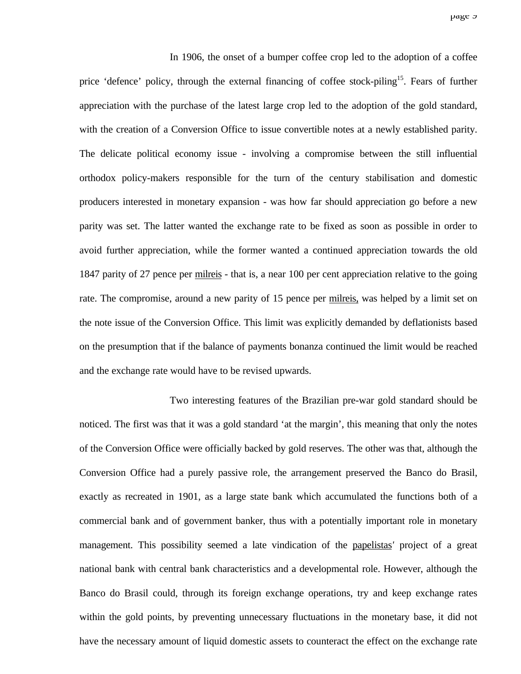In 1906, the onset of a bumper coffee crop led to the adoption of a coffee price 'defence' policy, through the external financing of coffee stock-piling<sup>15</sup>. Fears of further appreciation with the purchase of the latest large crop led to the adoption of the gold standard, with the creation of a Conversion Office to issue convertible notes at a newly established parity. The delicate political economy issue - involving a compromise between the still influential orthodox policy-makers responsible for the turn of the century stabilisation and domestic producers interested in monetary expansion - was how far should appreciation go before a new parity was set. The latter wanted the exchange rate to be fixed as soon as possible in order to avoid further appreciation, while the former wanted a continued appreciation towards the old 1847 parity of 27 pence per milreis - that is, a near 100 per cent appreciation relative to the going rate. The compromise, around a new parity of 15 pence per milreis, was helped by a limit set on the note issue of the Conversion Office. This limit was explicitly demanded by deflationists based on the presumption that if the balance of payments bonanza continued the limit would be reached and the exchange rate would have to be revised upwards.

Two interesting features of the Brazilian pre-war gold standard should be noticed. The first was that it was a gold standard 'at the margin', this meaning that only the notes of the Conversion Office were officially backed by gold reserves. The other was that, although the Conversion Office had a purely passive role, the arrangement preserved the Banco do Brasil, exactly as recreated in 1901, as a large state bank which accumulated the functions both of a commercial bank and of government banker, thus with a potentially important role in monetary management. This possibility seemed a late vindication of the papelistas*'* project of a great national bank with central bank characteristics and a developmental role. However, although the Banco do Brasil could, through its foreign exchange operations, try and keep exchange rates within the gold points, by preventing unnecessary fluctuations in the monetary base, it did not have the necessary amount of liquid domestic assets to counteract the effect on the exchange rate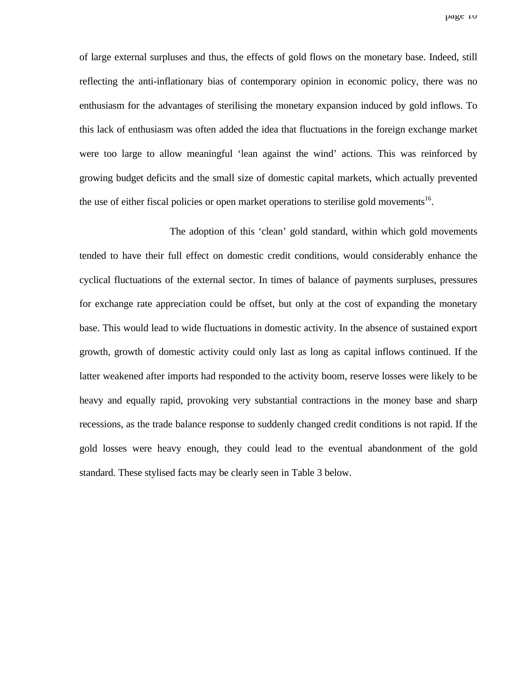of large external surpluses and thus, the effects of gold flows on the monetary base. Indeed, still reflecting the anti-inflationary bias of contemporary opinion in economic policy, there was no enthusiasm for the advantages of sterilising the monetary expansion induced by gold inflows. To this lack of enthusiasm was often added the idea that fluctuations in the foreign exchange market were too large to allow meaningful 'lean against the wind' actions. This was reinforced by growing budget deficits and the small size of domestic capital markets, which actually prevented the use of either fiscal policies or open market operations to sterilise gold movements<sup>16</sup>.

The adoption of this 'clean' gold standard, within which gold movements tended to have their full effect on domestic credit conditions, would considerably enhance the cyclical fluctuations of the external sector. In times of balance of payments surpluses, pressures for exchange rate appreciation could be offset, but only at the cost of expanding the monetary base. This would lead to wide fluctuations in domestic activity. In the absence of sustained export growth, growth of domestic activity could only last as long as capital inflows continued. If the latter weakened after imports had responded to the activity boom, reserve losses were likely to be heavy and equally rapid, provoking very substantial contractions in the money base and sharp recessions, as the trade balance response to suddenly changed credit conditions is not rapid. If the gold losses were heavy enough, they could lead to the eventual abandonment of the gold standard. These stylised facts may be clearly seen in Table 3 below.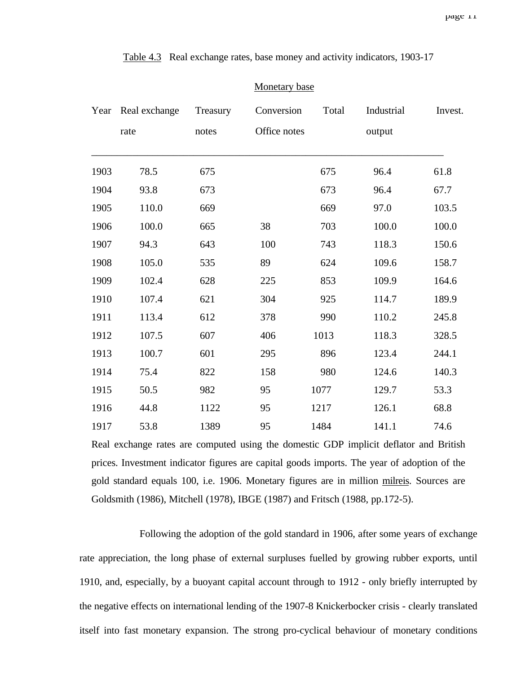| Year | Real exchange | Treasury | Conversion   | Total | Industrial | Invest. |
|------|---------------|----------|--------------|-------|------------|---------|
|      | rate          | notes    | Office notes |       | output     |         |
| 1903 | 78.5          | 675      |              | 675   | 96.4       | 61.8    |
| 1904 | 93.8          | 673      |              | 673   | 96.4       | 67.7    |
| 1905 | 110.0         | 669      |              | 669   | 97.0       | 103.5   |
| 1906 | 100.0         | 665      | 38           | 703   | 100.0      | 100.0   |
| 1907 | 94.3          | 643      | 100          | 743   | 118.3      | 150.6   |
| 1908 | 105.0         | 535      | 89           | 624   | 109.6      | 158.7   |
| 1909 | 102.4         | 628      | 225          | 853   | 109.9      | 164.6   |
| 1910 | 107.4         | 621      | 304          | 925   | 114.7      | 189.9   |
| 1911 | 113.4         | 612      | 378          | 990   | 110.2      | 245.8   |
| 1912 | 107.5         | 607      | 406          | 1013  | 118.3      | 328.5   |
| 1913 | 100.7         | 601      | 295          | 896   | 123.4      | 244.1   |
| 1914 | 75.4          | 822      | 158          | 980   | 124.6      | 140.3   |
| 1915 | 50.5          | 982      | 95           | 1077  | 129.7      | 53.3    |
| 1916 | 44.8          | 1122     | 95           | 1217  | 126.1      | 68.8    |
| 1917 | 53.8          | 1389     | 95           | 1484  | 141.1      | 74.6    |

Monetary base

Real exchange rates are computed using the domestic GDP implicit deflator and British prices. Investment indicator figures are capital goods imports. The year of adoption of the gold standard equals 100, i.e. 1906. Monetary figures are in million milreis. Sources are Goldsmith (1986), Mitchell (1978), IBGE (1987) and Fritsch (1988, pp.172-5).

Following the adoption of the gold standard in 1906, after some years of exchange rate appreciation, the long phase of external surpluses fuelled by growing rubber exports, until 1910, and, especially, by a buoyant capital account through to 1912 - only briefly interrupted by the negative effects on international lending of the 1907-8 Knickerbocker crisis - clearly translated itself into fast monetary expansion. The strong pro-cyclical behaviour of monetary conditions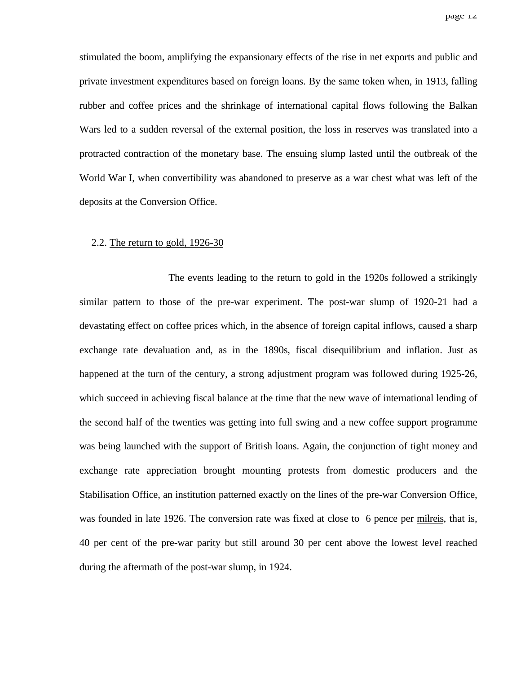stimulated the boom, amplifying the expansionary effects of the rise in net exports and public and private investment expenditures based on foreign loans. By the same token when, in 1913, falling rubber and coffee prices and the shrinkage of international capital flows following the Balkan Wars led to a sudden reversal of the external position, the loss in reserves was translated into a protracted contraction of the monetary base. The ensuing slump lasted until the outbreak of the World War I, when convertibility was abandoned to preserve as a war chest what was left of the deposits at the Conversion Office.

# 2.2. The return to gold, 1926-30

The events leading to the return to gold in the 1920s followed a strikingly similar pattern to those of the pre-war experiment. The post-war slump of 1920-21 had a devastating effect on coffee prices which, in the absence of foreign capital inflows, caused a sharp exchange rate devaluation and, as in the 1890s, fiscal disequilibrium and inflation. Just as happened at the turn of the century, a strong adjustment program was followed during 1925-26, which succeed in achieving fiscal balance at the time that the new wave of international lending of the second half of the twenties was getting into full swing and a new coffee support programme was being launched with the support of British loans. Again, the conjunction of tight money and exchange rate appreciation brought mounting protests from domestic producers and the Stabilisation Office, an institution patterned exactly on the lines of the pre-war Conversion Office, was founded in late 1926. The conversion rate was fixed at close to 6 pence per milreis, that is, 40 per cent of the pre-war parity but still around 30 per cent above the lowest level reached during the aftermath of the post-war slump, in 1924.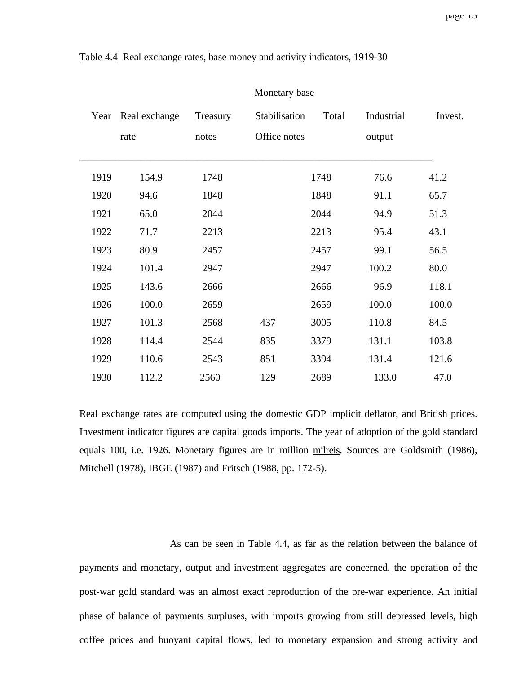| Year | Real exchange | Treasury | Stabilisation | Total | Industrial | Invest. |
|------|---------------|----------|---------------|-------|------------|---------|
|      | rate          | notes    | Office notes  |       | output     |         |
|      |               |          |               |       |            |         |
| 1919 | 154.9         | 1748     |               | 1748  | 76.6       | 41.2    |
| 1920 | 94.6          | 1848     |               | 1848  | 91.1       | 65.7    |
| 1921 | 65.0          | 2044     |               | 2044  | 94.9       | 51.3    |
| 1922 | 71.7          | 2213     |               | 2213  | 95.4       | 43.1    |
| 1923 | 80.9          | 2457     |               | 2457  | 99.1       | 56.5    |
| 1924 | 101.4         | 2947     |               | 2947  | 100.2      | 80.0    |
| 1925 | 143.6         | 2666     |               | 2666  | 96.9       | 118.1   |
| 1926 | 100.0         | 2659     |               | 2659  | 100.0      | 100.0   |
| 1927 | 101.3         | 2568     | 437           | 3005  | 110.8      | 84.5    |
| 1928 | 114.4         | 2544     | 835           | 3379  | 131.1      | 103.8   |
| 1929 | 110.6         | 2543     | 851           | 3394  | 131.4      | 121.6   |
| 1930 | 112.2         | 2560     | 129           | 2689  | 133.0      | 47.0    |
|      |               |          |               |       |            |         |

Table 4.4 Real exchange rates, base money and activity indicators, 1919-30

Real exchange rates are computed using the domestic GDP implicit deflator, and British prices. Investment indicator figures are capital goods imports. The year of adoption of the gold standard equals 100, i.e. 1926. Monetary figures are in million milreis. Sources are Goldsmith (1986), Mitchell (1978), IBGE (1987) and Fritsch (1988, pp. 172-5).

As can be seen in Table 4.4, as far as the relation between the balance of payments and monetary, output and investment aggregates are concerned, the operation of the post-war gold standard was an almost exact reproduction of the pre-war experience. An initial phase of balance of payments surpluses, with imports growing from still depressed levels, high coffee prices and buoyant capital flows, led to monetary expansion and strong activity and

#### Monetary base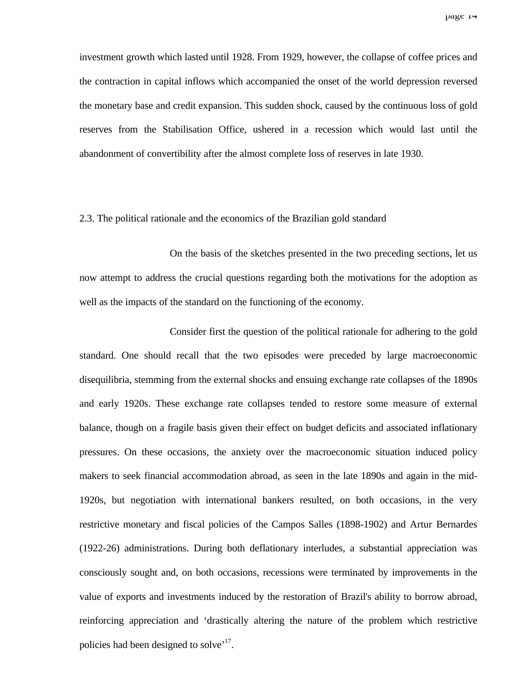page 14

investment growth which lasted until 1928. From 1929, however, the collapse of coffee prices and the contraction in capital inflows which accompanied the onset of the world depression reversed the monetary base and credit expansion. This sudden shock, caused by the continuous loss of gold reserves from the Stabilisation Office, ushered in a recession which would last until the abandonment of convertibility after the almost complete loss of reserves in late 1930.

2.3. The political rationale and the economics of the Brazilian gold standard

On the basis of the sketches presented in the two preceding sections, let us now attempt to address the crucial questions regarding both the motivations for the adoption as well as the impacts of the standard on the functioning of the economy.

Consider first the question of the political rationale for adhering to the gold standard. One should recall that the two episodes were preceded by large macroeconomic disequilibria, stemming from the external shocks and ensuing exchange rate collapses of the 1890s and early 1920s. These exchange rate collapses tended to restore some measure of external balance, though on a fragile basis given their effect on budget deficits and associated inflationary pressures. On these occasions, the anxiety over the macroeconomic situation induced policy makers to seek financial accommodation abroad, as seen in the late 1890s and again in the mid-1920s, but negotiation with international bankers resulted, on both occasions, in the very restrictive monetary and fiscal policies of the Campos Salles (1898-1902) and Artur Bernardes (1922-26) administrations. During both deflationary interludes, a substantial appreciation was consciously sought and, on both occasions, recessions were terminated by improvements in the value of exports and investments induced by the restoration of Brazil's ability to borrow abroad, reinforcing appreciation and 'drastically altering the nature of the problem which restrictive policies had been designed to solve<sup>17</sup>.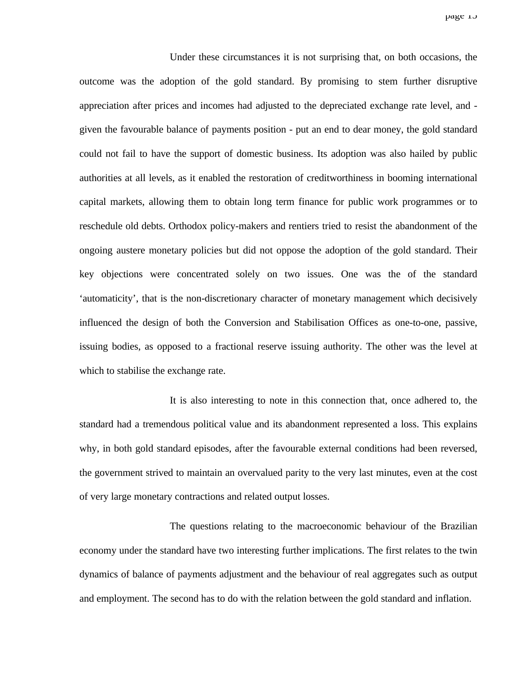Under these circumstances it is not surprising that, on both occasions, the outcome was the adoption of the gold standard. By promising to stem further disruptive appreciation after prices and incomes had adjusted to the depreciated exchange rate level, and given the favourable balance of payments position - put an end to dear money, the gold standard could not fail to have the support of domestic business. Its adoption was also hailed by public authorities at all levels, as it enabled the restoration of creditworthiness in booming international capital markets, allowing them to obtain long term finance for public work programmes or to reschedule old debts. Orthodox policy-makers and rentiers tried to resist the abandonment of the ongoing austere monetary policies but did not oppose the adoption of the gold standard. Their key objections were concentrated solely on two issues. One was the of the standard 'automaticity', that is the non-discretionary character of monetary management which decisively influenced the design of both the Conversion and Stabilisation Offices as one-to-one, passive, issuing bodies, as opposed to a fractional reserve issuing authority. The other was the level at which to stabilise the exchange rate.

It is also interesting to note in this connection that, once adhered to, the standard had a tremendous political value and its abandonment represented a loss. This explains why, in both gold standard episodes, after the favourable external conditions had been reversed, the government strived to maintain an overvalued parity to the very last minutes, even at the cost of very large monetary contractions and related output losses.

The questions relating to the macroeconomic behaviour of the Brazilian economy under the standard have two interesting further implications. The first relates to the twin dynamics of balance of payments adjustment and the behaviour of real aggregates such as output and employment. The second has to do with the relation between the gold standard and inflation.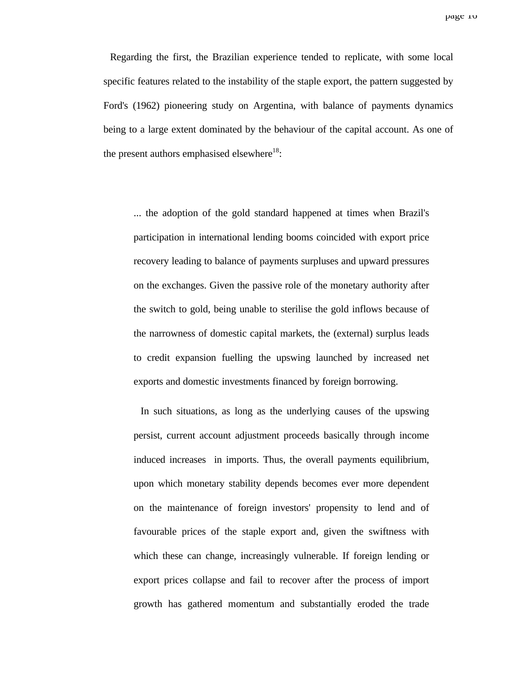page 10

Regarding the first, the Brazilian experience tended to replicate, with some local specific features related to the instability of the staple export, the pattern suggested by Ford's (1962) pioneering study on Argentina, with balance of payments dynamics being to a large extent dominated by the behaviour of the capital account. As one of the present authors emphasised elsewhere<sup>18</sup>:

... the adoption of the gold standard happened at times when Brazil's participation in international lending booms coincided with export price recovery leading to balance of payments surpluses and upward pressures on the exchanges. Given the passive role of the monetary authority after the switch to gold, being unable to sterilise the gold inflows because of the narrowness of domestic capital markets, the (external) surplus leads to credit expansion fuelling the upswing launched by increased net exports and domestic investments financed by foreign borrowing.

In such situations, as long as the underlying causes of the upswing persist, current account adjustment proceeds basically through income induced increases in imports. Thus, the overall payments equilibrium, upon which monetary stability depends becomes ever more dependent on the maintenance of foreign investors' propensity to lend and of favourable prices of the staple export and, given the swiftness with which these can change, increasingly vulnerable. If foreign lending or export prices collapse and fail to recover after the process of import growth has gathered momentum and substantially eroded the trade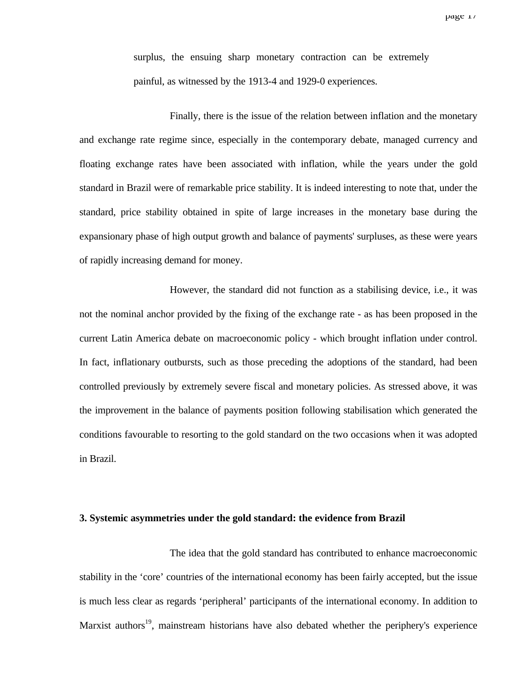surplus, the ensuing sharp monetary contraction can be extremely painful, as witnessed by the 1913-4 and 1929-0 experiences.

Finally, there is the issue of the relation between inflation and the monetary and exchange rate regime since, especially in the contemporary debate, managed currency and floating exchange rates have been associated with inflation, while the years under the gold standard in Brazil were of remarkable price stability. It is indeed interesting to note that, under the standard, price stability obtained in spite of large increases in the monetary base during the expansionary phase of high output growth and balance of payments' surpluses, as these were years of rapidly increasing demand for money.

However, the standard did not function as a stabilising device, i.e., it was not the nominal anchor provided by the fixing of the exchange rate - as has been proposed in the current Latin America debate on macroeconomic policy - which brought inflation under control. In fact, inflationary outbursts, such as those preceding the adoptions of the standard, had been controlled previously by extremely severe fiscal and monetary policies. As stressed above, it was the improvement in the balance of payments position following stabilisation which generated the conditions favourable to resorting to the gold standard on the two occasions when it was adopted in Brazil.

### **3. Systemic asymmetries under the gold standard: the evidence from Brazil**

The idea that the gold standard has contributed to enhance macroeconomic stability in the 'core' countries of the international economy has been fairly accepted, but the issue is much less clear as regards 'peripheral' participants of the international economy. In addition to Marxist authors<sup>19</sup>, mainstream historians have also debated whether the periphery's experience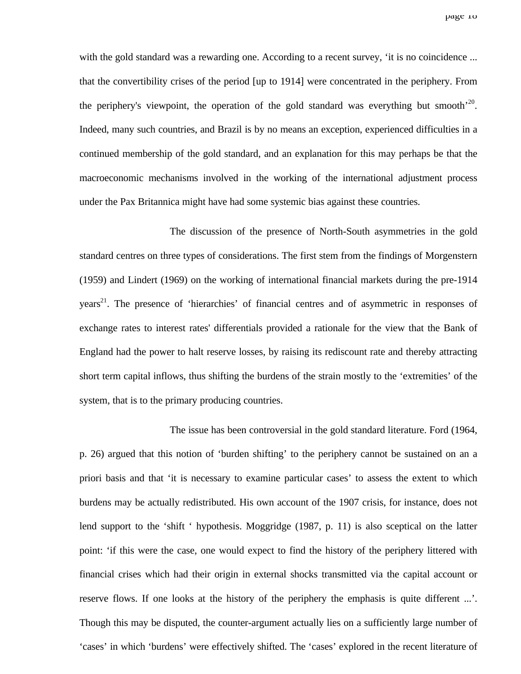with the gold standard was a rewarding one. According to a recent survey, 'it is no coincidence ... that the convertibility crises of the period [up to 1914] were concentrated in the periphery. From the periphery's viewpoint, the operation of the gold standard was everything but smooth<sup>'20</sup>. Indeed, many such countries, and Brazil is by no means an exception, experienced difficulties in a continued membership of the gold standard, and an explanation for this may perhaps be that the macroeconomic mechanisms involved in the working of the international adjustment process under the Pax Britannica might have had some systemic bias against these countries.

The discussion of the presence of North-South asymmetries in the gold standard centres on three types of considerations. The first stem from the findings of Morgenstern (1959) and Lindert (1969) on the working of international financial markets during the pre-1914 years<sup>21</sup>. The presence of 'hierarchies' of financial centres and of asymmetric in responses of exchange rates to interest rates' differentials provided a rationale for the view that the Bank of England had the power to halt reserve losses, by raising its rediscount rate and thereby attracting short term capital inflows, thus shifting the burdens of the strain mostly to the 'extremities' of the system, that is to the primary producing countries.

The issue has been controversial in the gold standard literature. Ford (1964, p. 26) argued that this notion of 'burden shifting' to the periphery cannot be sustained on an a priori basis and that 'it is necessary to examine particular cases' to assess the extent to which burdens may be actually redistributed. His own account of the 1907 crisis, for instance, does not lend support to the 'shift ' hypothesis. Moggridge (1987, p. 11) is also sceptical on the latter point: 'if this were the case, one would expect to find the history of the periphery littered with financial crises which had their origin in external shocks transmitted via the capital account or reserve flows. If one looks at the history of the periphery the emphasis is quite different ...'. Though this may be disputed, the counter-argument actually lies on a sufficiently large number of 'cases' in which 'burdens' were effectively shifted. The 'cases' explored in the recent literature of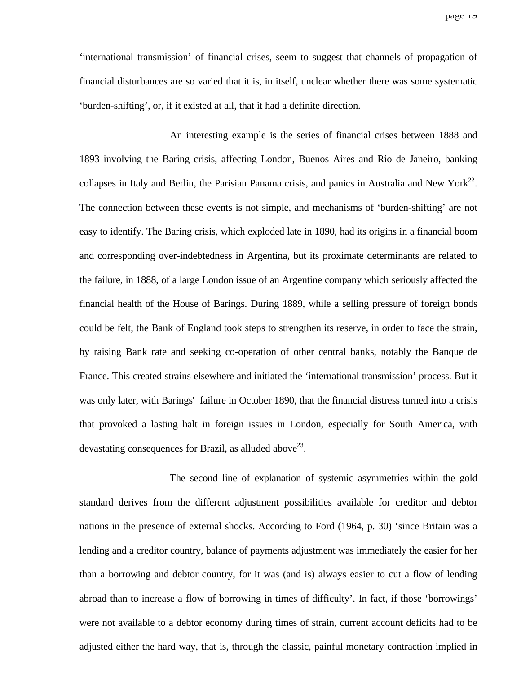'international transmission' of financial crises, seem to suggest that channels of propagation of financial disturbances are so varied that it is, in itself, unclear whether there was some systematic 'burden-shifting', or, if it existed at all, that it had a definite direction.

An interesting example is the series of financial crises between 1888 and 1893 involving the Baring crisis, affecting London, Buenos Aires and Rio de Janeiro, banking collapses in Italy and Berlin, the Parisian Panama crisis, and panics in Australia and New York<sup>22</sup>. The connection between these events is not simple, and mechanisms of 'burden-shifting' are not easy to identify. The Baring crisis, which exploded late in 1890, had its origins in a financial boom and corresponding over-indebtedness in Argentina, but its proximate determinants are related to the failure, in 1888, of a large London issue of an Argentine company which seriously affected the financial health of the House of Barings. During 1889, while a selling pressure of foreign bonds could be felt, the Bank of England took steps to strengthen its reserve, in order to face the strain, by raising Bank rate and seeking co-operation of other central banks, notably the Banque de France. This created strains elsewhere and initiated the 'international transmission' process. But it was only later, with Barings' failure in October 1890, that the financial distress turned into a crisis that provoked a lasting halt in foreign issues in London, especially for South America, with devastating consequences for Brazil, as alluded above<sup>23</sup>.

The second line of explanation of systemic asymmetries within the gold standard derives from the different adjustment possibilities available for creditor and debtor nations in the presence of external shocks. According to Ford (1964, p. 30) 'since Britain was a lending and a creditor country, balance of payments adjustment was immediately the easier for her than a borrowing and debtor country, for it was (and is) always easier to cut a flow of lending abroad than to increase a flow of borrowing in times of difficulty'. In fact, if those 'borrowings' were not available to a debtor economy during times of strain, current account deficits had to be adjusted either the hard way, that is, through the classic, painful monetary contraction implied in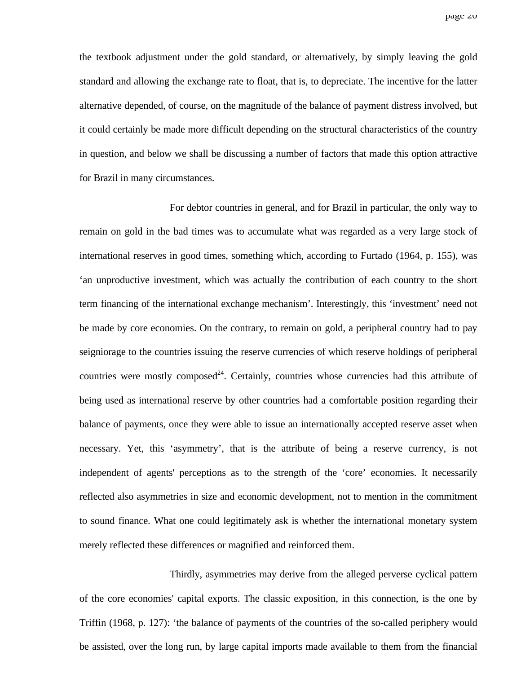the textbook adjustment under the gold standard, or alternatively, by simply leaving the gold standard and allowing the exchange rate to float, that is, to depreciate. The incentive for the latter alternative depended, of course, on the magnitude of the balance of payment distress involved, but it could certainly be made more difficult depending on the structural characteristics of the country in question, and below we shall be discussing a number of factors that made this option attractive for Brazil in many circumstances.

For debtor countries in general, and for Brazil in particular, the only way to remain on gold in the bad times was to accumulate what was regarded as a very large stock of international reserves in good times, something which, according to Furtado (1964, p. 155), was 'an unproductive investment, which was actually the contribution of each country to the short term financing of the international exchange mechanism'. Interestingly, this 'investment' need not be made by core economies. On the contrary, to remain on gold, a peripheral country had to pay seigniorage to the countries issuing the reserve currencies of which reserve holdings of peripheral countries were mostly composed<sup>24</sup>. Certainly, countries whose currencies had this attribute of being used as international reserve by other countries had a comfortable position regarding their balance of payments, once they were able to issue an internationally accepted reserve asset when necessary. Yet, this 'asymmetry', that is the attribute of being a reserve currency, is not independent of agents' perceptions as to the strength of the 'core' economies. It necessarily reflected also asymmetries in size and economic development, not to mention in the commitment to sound finance. What one could legitimately ask is whether the international monetary system merely reflected these differences or magnified and reinforced them.

Thirdly, asymmetries may derive from the alleged perverse cyclical pattern of the core economies' capital exports. The classic exposition, in this connection, is the one by Triffin (1968, p. 127): 'the balance of payments of the countries of the so-called periphery would be assisted, over the long run, by large capital imports made available to them from the financial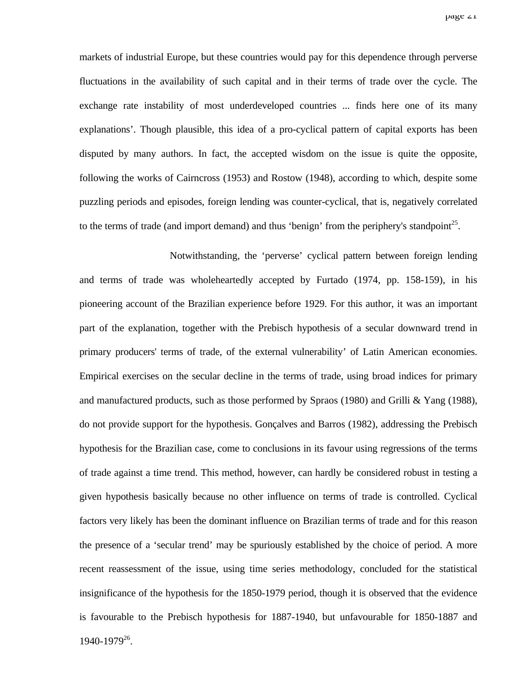markets of industrial Europe, but these countries would pay for this dependence through perverse fluctuations in the availability of such capital and in their terms of trade over the cycle. The exchange rate instability of most underdeveloped countries ... finds here one of its many explanations'. Though plausible, this idea of a pro-cyclical pattern of capital exports has been disputed by many authors. In fact, the accepted wisdom on the issue is quite the opposite, following the works of Cairncross (1953) and Rostow (1948), according to which, despite some puzzling periods and episodes, foreign lending was counter-cyclical, that is, negatively correlated to the terms of trade (and import demand) and thus 'benign' from the periphery's standpoint<sup>25</sup>.

Notwithstanding, the 'perverse' cyclical pattern between foreign lending and terms of trade was wholeheartedly accepted by Furtado (1974, pp. 158-159), in his pioneering account of the Brazilian experience before 1929. For this author, it was an important part of the explanation, together with the Prebisch hypothesis of a secular downward trend in primary producers' terms of trade, of the external vulnerability' of Latin American economies. Empirical exercises on the secular decline in the terms of trade, using broad indices for primary and manufactured products, such as those performed by Spraos (1980) and Grilli & Yang (1988), do not provide support for the hypothesis. Gonçalves and Barros (1982), addressing the Prebisch hypothesis for the Brazilian case, come to conclusions in its favour using regressions of the terms of trade against a time trend. This method, however, can hardly be considered robust in testing a given hypothesis basically because no other influence on terms of trade is controlled. Cyclical factors very likely has been the dominant influence on Brazilian terms of trade and for this reason the presence of a 'secular trend' may be spuriously established by the choice of period. A more recent reassessment of the issue, using time series methodology, concluded for the statistical insignificance of the hypothesis for the 1850-1979 period, though it is observed that the evidence is favourable to the Prebisch hypothesis for 1887-1940, but unfavourable for 1850-1887 and 1940-1979<sup>26</sup>.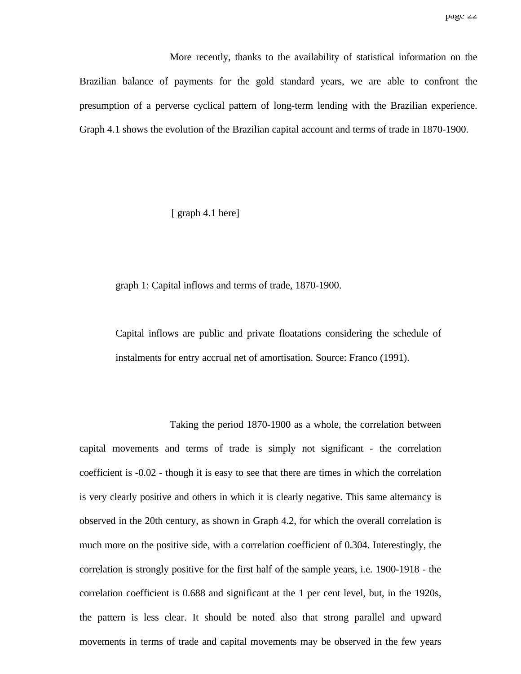More recently, thanks to the availability of statistical information on the Brazilian balance of payments for the gold standard years, we are able to confront the presumption of a perverse cyclical pattern of long-term lending with the Brazilian experience. Graph 4.1 shows the evolution of the Brazilian capital account and terms of trade in 1870-1900.

### [ graph 4.1 here]

graph 1: Capital inflows and terms of trade, 1870-1900.

Capital inflows are public and private floatations considering the schedule of instalments for entry accrual net of amortisation. Source: Franco (1991).

Taking the period 1870-1900 as a whole, the correlation between capital movements and terms of trade is simply not significant - the correlation coefficient is -0.02 - though it is easy to see that there are times in which the correlation is very clearly positive and others in which it is clearly negative. This same alternancy is observed in the 20th century, as shown in Graph 4.2, for which the overall correlation is much more on the positive side, with a correlation coefficient of 0.304. Interestingly, the correlation is strongly positive for the first half of the sample years, i.e. 1900-1918 - the correlation coefficient is 0.688 and significant at the 1 per cent level, but, in the 1920s, the pattern is less clear. It should be noted also that strong parallel and upward movements in terms of trade and capital movements may be observed in the few years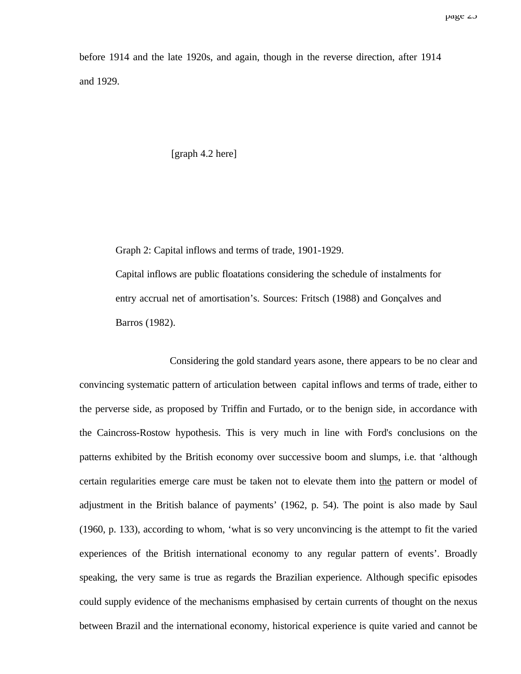before 1914 and the late 1920s, and again, though in the reverse direction, after 1914 and 1929.

[graph 4.2 here]

Graph 2: Capital inflows and terms of trade, 1901-1929. Capital inflows are public floatations considering the schedule of instalments for entry accrual net of amortisation's. Sources: Fritsch (1988) and Gonçalves and Barros (1982).

Considering the gold standard years asone, there appears to be no clear and convincing systematic pattern of articulation between capital inflows and terms of trade, either to the perverse side, as proposed by Triffin and Furtado, or to the benign side, in accordance with the Caincross-Rostow hypothesis. This is very much in line with Ford's conclusions on the patterns exhibited by the British economy over successive boom and slumps, i.e. that 'although certain regularities emerge care must be taken not to elevate them into the pattern or model of adjustment in the British balance of payments' (1962, p. 54). The point is also made by Saul (1960, p. 133), according to whom, 'what is so very unconvincing is the attempt to fit the varied experiences of the British international economy to any regular pattern of events'. Broadly speaking, the very same is true as regards the Brazilian experience. Although specific episodes could supply evidence of the mechanisms emphasised by certain currents of thought on the nexus between Brazil and the international economy, historical experience is quite varied and cannot be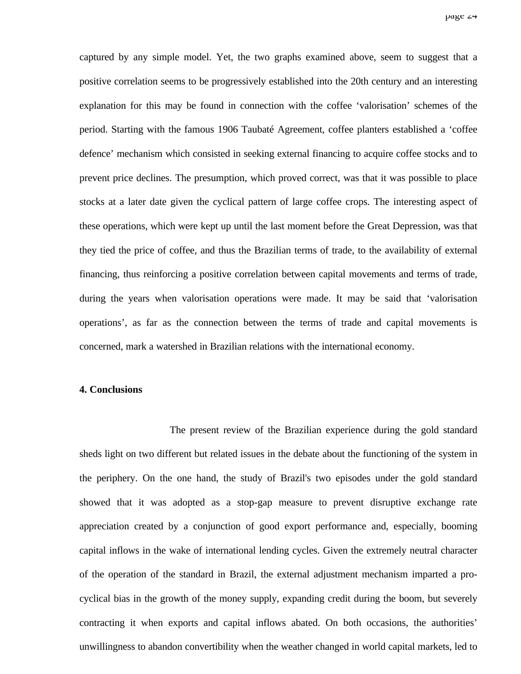captured by any simple model. Yet, the two graphs examined above, seem to suggest that a positive correlation seems to be progressively established into the 20th century and an interesting explanation for this may be found in connection with the coffee 'valorisation' schemes of the period. Starting with the famous 1906 Taubaté Agreement, coffee planters established a 'coffee defence' mechanism which consisted in seeking external financing to acquire coffee stocks and to prevent price declines. The presumption, which proved correct, was that it was possible to place stocks at a later date given the cyclical pattern of large coffee crops. The interesting aspect of these operations, which were kept up until the last moment before the Great Depression, was that they tied the price of coffee, and thus the Brazilian terms of trade, to the availability of external financing, thus reinforcing a positive correlation between capital movements and terms of trade, during the years when valorisation operations were made. It may be said that 'valorisation operations', as far as the connection between the terms of trade and capital movements is concerned, mark a watershed in Brazilian relations with the international economy.

### **4. Conclusions**

The present review of the Brazilian experience during the gold standard sheds light on two different but related issues in the debate about the functioning of the system in the periphery. On the one hand, the study of Brazil's two episodes under the gold standard showed that it was adopted as a stop-gap measure to prevent disruptive exchange rate appreciation created by a conjunction of good export performance and, especially, booming capital inflows in the wake of international lending cycles. Given the extremely neutral character of the operation of the standard in Brazil, the external adjustment mechanism imparted a procyclical bias in the growth of the money supply, expanding credit during the boom, but severely contracting it when exports and capital inflows abated. On both occasions, the authorities' unwillingness to abandon convertibility when the weather changed in world capital markets, led to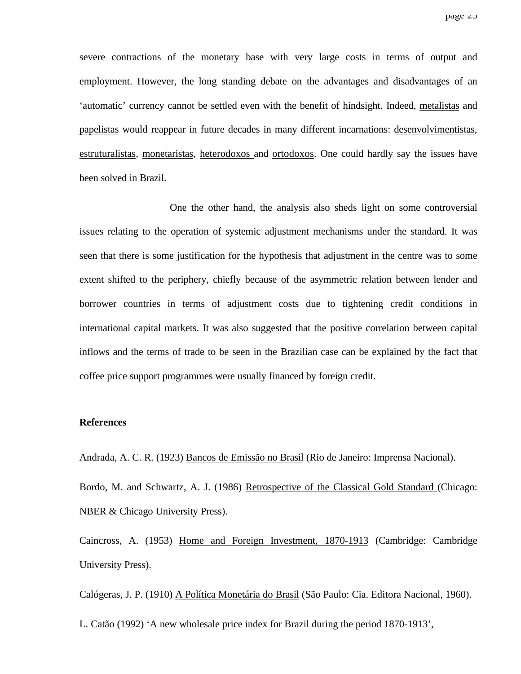severe contractions of the monetary base with very large costs in terms of output and employment. However, the long standing debate on the advantages and disadvantages of an 'automatic' currency cannot be settled even with the benefit of hindsight. Indeed, metalistas and papelistas would reappear in future decades in many different incarnations: desenvolvimentistas*,* estruturalistas*,* monetaristas*,* heterodoxos and ortodoxos. One could hardly say the issues have been solved in Brazil.

One the other hand, the analysis also sheds light on some controversial issues relating to the operation of systemic adjustment mechanisms under the standard. It was seen that there is some justification for the hypothesis that adjustment in the centre was to some extent shifted to the periphery, chiefly because of the asymmetric relation between lender and borrower countries in terms of adjustment costs due to tightening credit conditions in international capital markets. It was also suggested that the positive correlation between capital inflows and the terms of trade to be seen in the Brazilian case can be explained by the fact that coffee price support programmes were usually financed by foreign credit.

### **References**

Andrada, A. C. R. (1923) Bancos de Emissão no Brasil (Rio de Janeiro: Imprensa Nacional).

Bordo, M. and Schwartz, A. J. (1986) Retrospective of the Classical Gold Standard (Chicago: NBER & Chicago University Press).

Caincross, A. (1953) Home and Foreign Investment, 1870-1913 (Cambridge: Cambridge University Press).

Calógeras, J. P. (1910) A Política Monetária do Brasil (São Paulo: Cia. Editora Nacional, 1960).

L. Catão (1992) 'A new wholesale price index for Brazil during the period 1870-1913',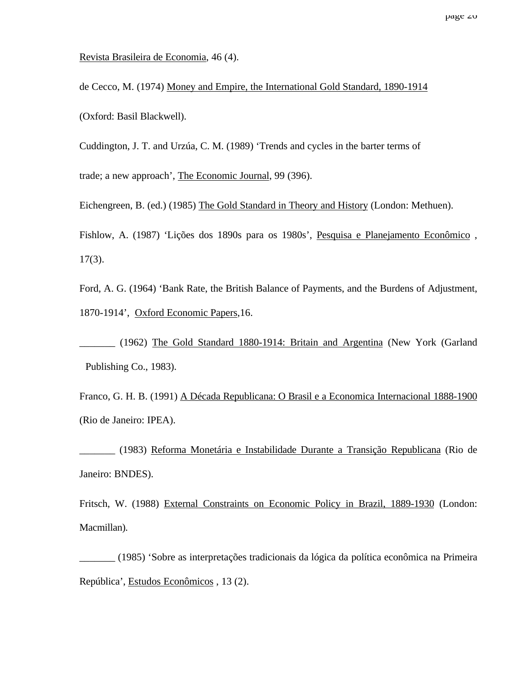Revista Brasileira de Economia, 46 (4).

de Cecco, M. (1974) Money and Empire, the International Gold Standard, 1890-1914 (Oxford: Basil Blackwell).

Cuddington, J. T. and Urzúa, C. M. (1989) 'Trends and cycles in the barter terms of trade; a new approach', The Economic Journal, 99 (396).

Eichengreen, B. (ed.) (1985) The Gold Standard in Theory and History (London: Methuen).

Fishlow, A. (1987) 'Lições dos 1890s para os 1980s', Pesquisa e Planejamento Econômico ,  $17(3)$ .

Ford, A. G. (1964) 'Bank Rate, the British Balance of Payments, and the Burdens of Adjustment, 1870-1914', Oxford Economic Papers,16.

\_\_\_\_\_\_\_ (1962) The Gold Standard 1880-1914: Britain and Argentina (New York (Garland Publishing Co., 1983).

Franco, G. H. B. (1991) A Década Republicana: O Brasil e a Economica Internacional 1888-1900 (Rio de Janeiro: IPEA).

\_\_\_\_\_\_\_ (1983) Reforma Monetária e Instabilidade Durante a Transição Republicana (Rio de Janeiro: BNDES).

Fritsch, W. (1988) External Constraints on Economic Policy in Brazil, 1889-1930 (London: Macmillan).

\_\_\_\_\_\_\_ (1985) 'Sobre as interpretações tradicionais da lógica da política econômica na Primeira República', Estudos Econômicos , 13 (2).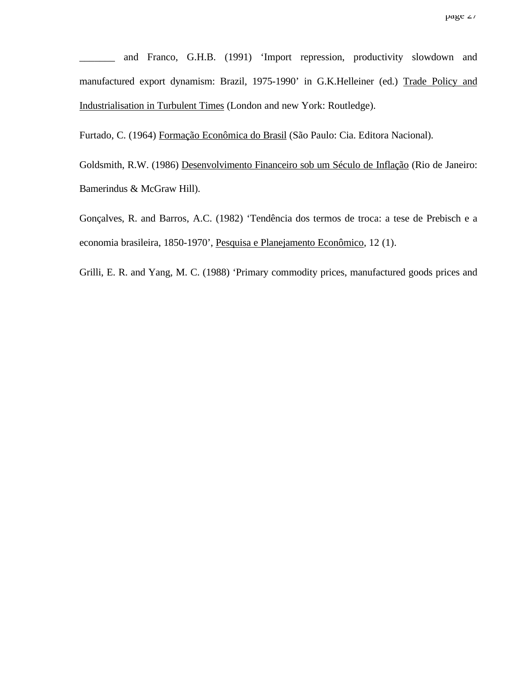and Franco, G.H.B. (1991) 'Import repression, productivity slowdown and manufactured export dynamism: Brazil, 1975-1990' in G.K.Helleiner (ed.) Trade Policy and Industrialisation in Turbulent Times (London and new York: Routledge).

Furtado, C. (1964) Formação Econômica do Brasil (São Paulo: Cia. Editora Nacional).

Goldsmith, R.W. (1986) Desenvolvimento Financeiro sob um Século de Inflação (Rio de Janeiro: Bamerindus & McGraw Hill).

Gonçalves, R. and Barros, A.C. (1982) 'Tendência dos termos de troca: a tese de Prebisch e a economia brasileira, 1850-1970', Pesquisa e Planejamento Econômico, 12 (1).

Grilli, E. R. and Yang, M. C. (1988) 'Primary commodity prices, manufactured goods prices and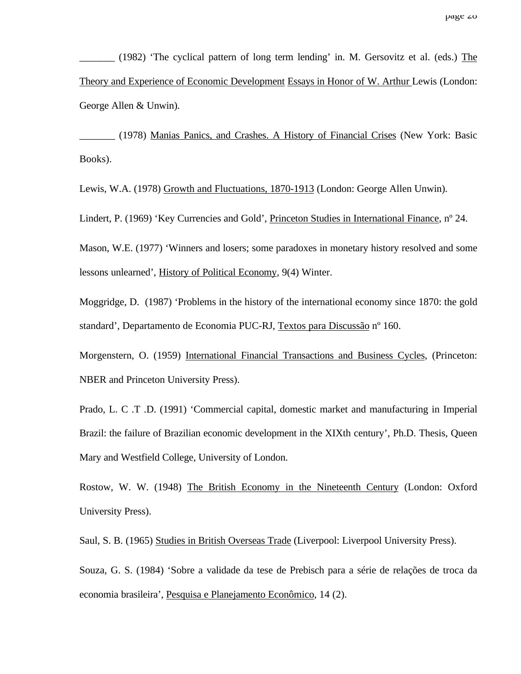\_\_\_\_\_\_\_ (1982) 'The cyclical pattern of long term lending' in. M. Gersovitz et al. (eds.) The Theory and Experience of Economic Development Essays in Honor of W. Arthur Lewis (London: George Allen & Unwin).

\_\_\_\_\_\_\_ (1978) Manias Panics, and Crashes. A History of Financial Crises (New York: Basic Books).

Lewis, W.A. (1978) Growth and Fluctuations, 1870-1913 (London: George Allen Unwin).

Lindert, P. (1969) 'Key Currencies and Gold', Princeton Studies in International Finance, n° 24.

Mason, W.E. (1977) 'Winners and losers; some paradoxes in monetary history resolved and some lessons unlearned', History of Political Economy, 9(4) Winter.

Moggridge, D. (1987) 'Problems in the history of the international economy since 1870: the gold standard', Departamento de Economia PUC-RJ, Textos para Discussão nº 160.

Morgenstern, O. (1959) International Financial Transactions and Business Cycles, (Princeton: NBER and Princeton University Press).

Prado, L. C .T .D. (1991) 'Commercial capital, domestic market and manufacturing in Imperial Brazil: the failure of Brazilian economic development in the XIXth century', Ph.D. Thesis, Queen Mary and Westfield College, University of London.

Rostow, W. W. (1948) The British Economy in the Nineteenth Century (London: Oxford University Press).

Saul, S. B. (1965) Studies in British Overseas Trade (Liverpool: Liverpool University Press).

Souza, G. S. (1984) 'Sobre a validade da tese de Prebisch para a série de relações de troca da economia brasileira', Pesquisa e Planejamento Econômico, 14 (2).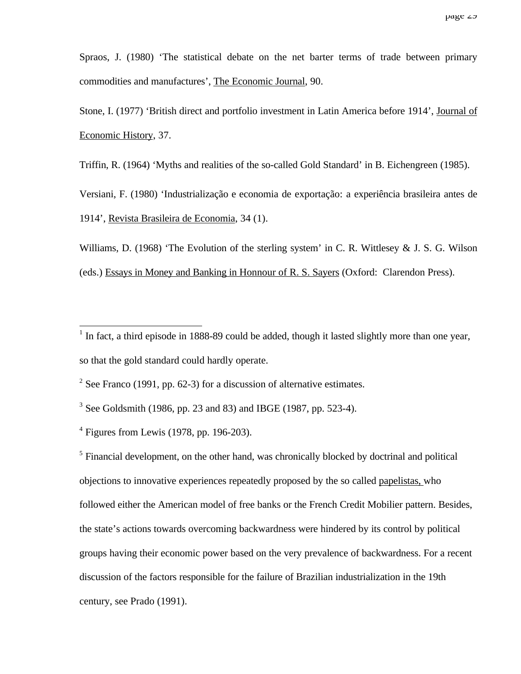Spraos, J. (1980) 'The statistical debate on the net barter terms of trade between primary commodities and manufactures', The Economic Journal, 90.

Stone, I. (1977) 'British direct and portfolio investment in Latin America before 1914', Journal of Economic History, 37.

Triffin, R. (1964) 'Myths and realities of the so-called Gold Standard' in B. Eichengreen (1985).

Versiani, F. (1980) 'Industrialização e economia de exportação: a experiência brasileira antes de 1914', Revista Brasileira de Economia, 34 (1).

Williams, D. (1968) 'The Evolution of the sterling system' in C. R. Wittlesey & J. S. G. Wilson (eds.) Essays in Money and Banking in Honnour of R. S. Sayers (Oxford: Clarendon Press).

<sup>2</sup> See Franco (1991, pp. 62-3) for a discussion of alternative estimates.

<sup>5</sup> Financial development, on the other hand, was chronically blocked by doctrinal and political objections to innovative experiences repeatedly proposed by the so called papelistas, who followed either the American model of free banks or the French Credit Mobilier pattern. Besides, the state's actions towards overcoming backwardness were hindered by its control by political groups having their economic power based on the very prevalence of backwardness. For a recent discussion of the factors responsible for the failure of Brazilian industrialization in the 19th century, see Prado (1991).

<sup>&</sup>lt;sup>1</sup> In fact, a third episode in 1888-89 could be added, though it lasted slightly more than one year, so that the gold standard could hardly operate.

 $3$  See Goldsmith (1986, pp. 23 and 83) and IBGE (1987, pp. 523-4).

 $4$  Figures from Lewis (1978, pp. 196-203).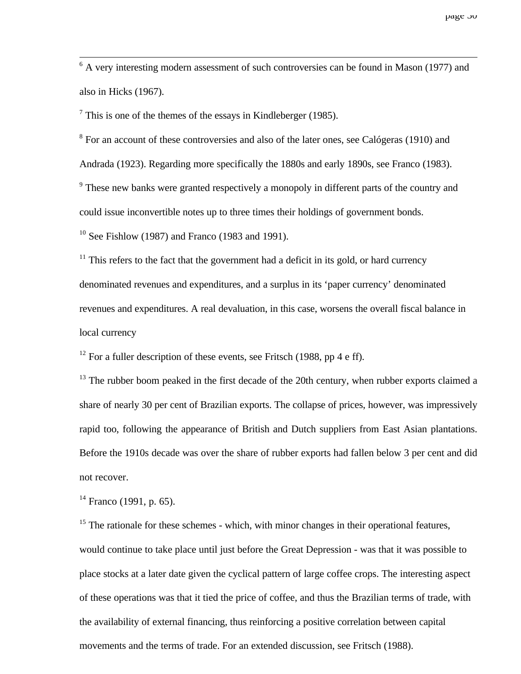page 30

<sup>6</sup> A very interesting modern assessment of such controversies can be found in Mason (1977) and also in Hicks (1967).

 $<sup>7</sup>$  This is one of the themes of the essays in Kindleberger (1985).</sup>

 $8$  For an account of these controversies and also of the later ones, see Calógeras (1910) and

Andrada (1923). Regarding more specifically the 1880s and early 1890s, see Franco (1983).

<sup>9</sup> These new banks were granted respectively a monopoly in different parts of the country and could issue inconvertible notes up to three times their holdings of government bonds.

 $10$  See Fishlow (1987) and Franco (1983 and 1991).

 $11$  This refers to the fact that the government had a deficit in its gold, or hard currency denominated revenues and expenditures, and a surplus in its 'paper currency' denominated revenues and expenditures. A real devaluation, in this case, worsens the overall fiscal balance in local currency

<sup>12</sup> For a fuller description of these events, see Fritsch (1988, pp 4 e ff).

<sup>13</sup> The rubber boom peaked in the first decade of the 20th century, when rubber exports claimed a share of nearly 30 per cent of Brazilian exports. The collapse of prices, however, was impressively rapid too, following the appearance of British and Dutch suppliers from East Asian plantations. Before the 1910s decade was over the share of rubber exports had fallen below 3 per cent and did not recover.

 $14$  Franco (1991, p. 65).

 $15$  The rationale for these schemes - which, with minor changes in their operational features,

would continue to take place until just before the Great Depression - was that it was possible to place stocks at a later date given the cyclical pattern of large coffee crops. The interesting aspect of these operations was that it tied the price of coffee, and thus the Brazilian terms of trade, with the availability of external financing, thus reinforcing a positive correlation between capital movements and the terms of trade. For an extended discussion, see Fritsch (1988).